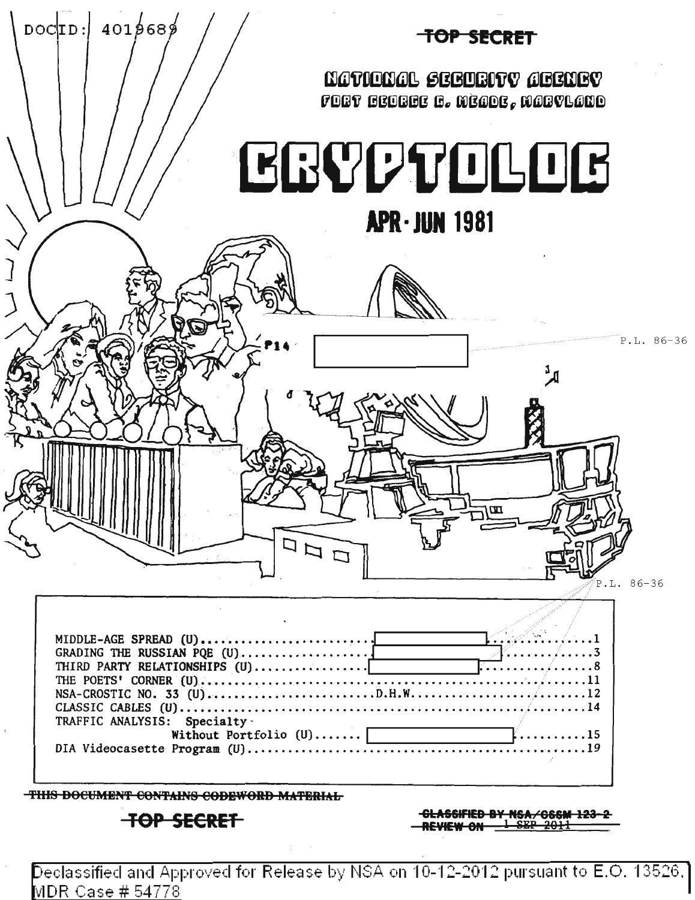

Declassified and Approved for Release by NSA on 10-12-2012 pursuant to E.O. 13526.] MDR Case # 54778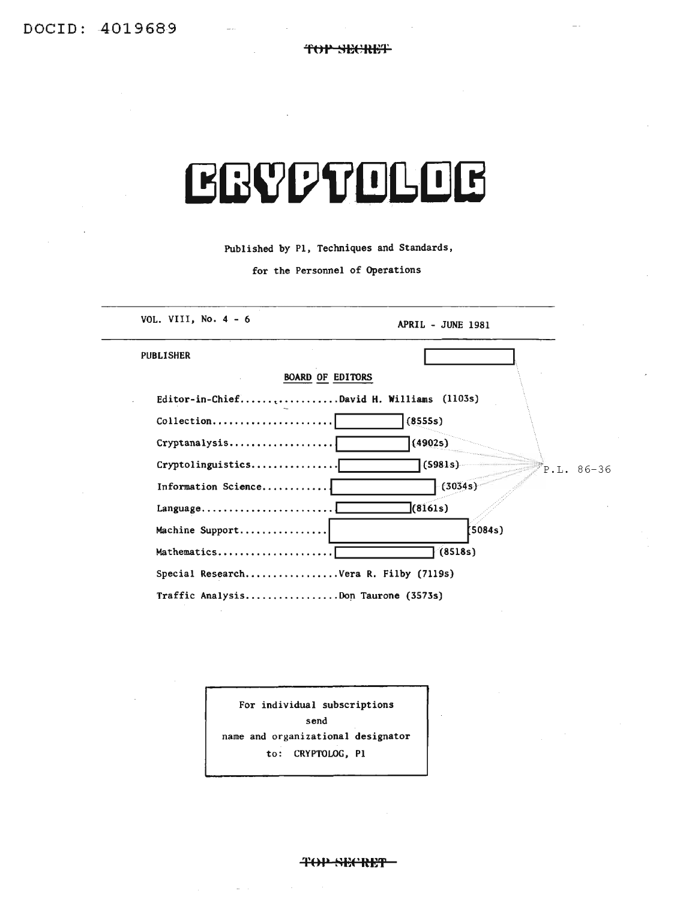**TOP SECRET** 

| LERAAL ALTERNIA<br>Published by P1, Techniques and Standards,<br>for the Personnel of Operations |                         |                        |                   |
|--------------------------------------------------------------------------------------------------|-------------------------|------------------------|-------------------|
|                                                                                                  |                         | VOL. VIII, No. $4 - 6$ | APRIL - JUNE 1981 |
|                                                                                                  |                         | <b>PUBLISHER</b>       |                   |
| <b>BOARD OF EDITORS</b>                                                                          |                         |                        |                   |
| Editor-in-ChiefDavid H. Williams (1103s)                                                         |                         |                        |                   |
| Collection                                                                                       | (8555s)                 |                        |                   |
| Cryptanalysis                                                                                    | (4902s)                 |                        |                   |
| Cryptolinguistics                                                                                | (5981s)<br>$P.L. 86-36$ |                        |                   |
| Information Science                                                                              | (3034s)                 |                        |                   |
| $Language \ldots \ldots \ldots \ldots \ldots \ldots$                                             | (8161s)                 |                        |                   |
| Machine Support                                                                                  | 5084s                   |                        |                   |
| Mathematics                                                                                      | (8518s)                 |                        |                   |
| Special ResearchVera R. Filby (7119s)                                                            |                         |                        |                   |
| Traffic AnalysisDon Taurone (3573s)                                                              |                         |                        |                   |

For individual subscriptions send name and organizational designator to: CRYPTOLOG, PI

TOP SECRET-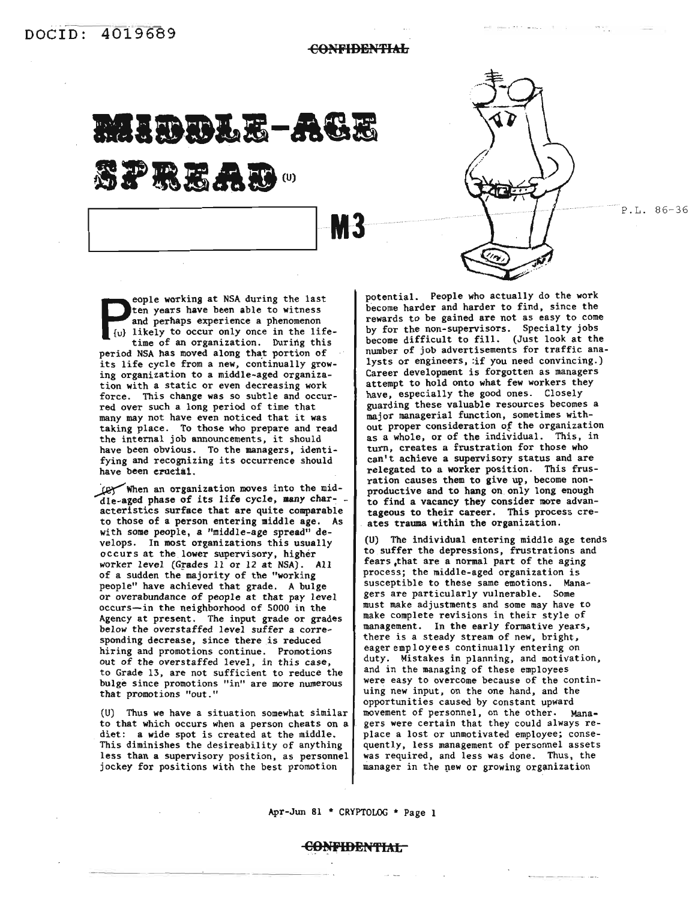**CONFIDENTIAL** 

**M3** 

**MI.&I.B-AGB**

**SPREAD**。

e eople working at NSA during the last ten years have been able to witness and perhaps experience a phenomenon {u} likely to occur only once in the lifetime of an organization. During this period NSA has moved along that portion of its life cycle from a new, continually growing organization to a middle-aged organization with a static or even decreasing work force. This change was so subtle and occurred over such a long period of time that many may not have even noticed that it was taking place. To those who prepare and read the internal job announcements, it should have been obvious. To the managers, identifying and recognizing its occurrence should have been crucial.

When an organization moves into the middle-aged phase of its life cycle, many characteristics surface that are quite comparable to those of a person entering middle age. As with some people, a "middle-age spread" develops. In most organizations this usually occurs at the lower supervisory, higher worker level (Grades 11 or 12 at NSA). All of a sudden the majority of the "working people" have achieved that grade. A bulge or overabundance of people at that pay level occurs--in the neighborhood of 5000 in the Agency at present. The input grade or grades below the overstaffed level suffer a corresponding decrease, since there is reduced hiring and promotions continue. Promotions out of the overstaffed level, in this case, to Grade 13, are not sufficient to reduce the bUlge since promotions "in" are more numerous that promotions "out."

(U) Thus we have a situation somewhat similar to that which occurs when a person cheats on a diet: a wide spot is created at the middle. This diminishes the desireability of anything less than a supervisory position, as personnel jockey for positions with the best promotion

potential. People who actually do the work become harder and harder to find, since the rewards to be gained are not as easy to come by for the non-supervisors. Specialty jobs become difficult to fill. (Just look at the number of job advertisements for traffic analysts or engineers, :if you need convincing.) Career development is forgotten as managers attempt to hold onto what few workers they have, especially the good ones. Closely guarding these valuable resources becomes a major managerial function, sometimes without proper consideration of the organization as a whole, or of the individual. This, in turn, creates a frustration for those who can't achieve a supervisory status and are relegated to a worker position. This frusration causes them to give up, become nonproductive and to hang on. only long enough to find a vacancy they consider more advantageous to their career. This process creates trauma within the organization.

(U) The individual entering middle age tends to suffer the depressions, frustrations and fears ,that are a normal part of the aging process; the middle-aged organization is susceptible to these same emotions. Managers are particularly vulnerable. Some must make adjustments and some may have to make complete revisions in their style of management. In the early formative years, there is a steady stream of new, bright, eager employees continually entering on duty. Mistakes in planning, and motivation, and in the managing of these employees were easy to overcome because of the continuing new input, on the one hand, and the opportunities caused by constant upward movement of personnel, on the other. Managers were certain that they could always replace a lost or unmotivated employee; consequently, less management of personnel assets was required, and less was done. Thus, the manager in the new or growing organization

Apr-Jun 81 \* CRYPTQLOG \* Page 1

#### C<del>ONFIDENTIAL</del>

P.L. 86-36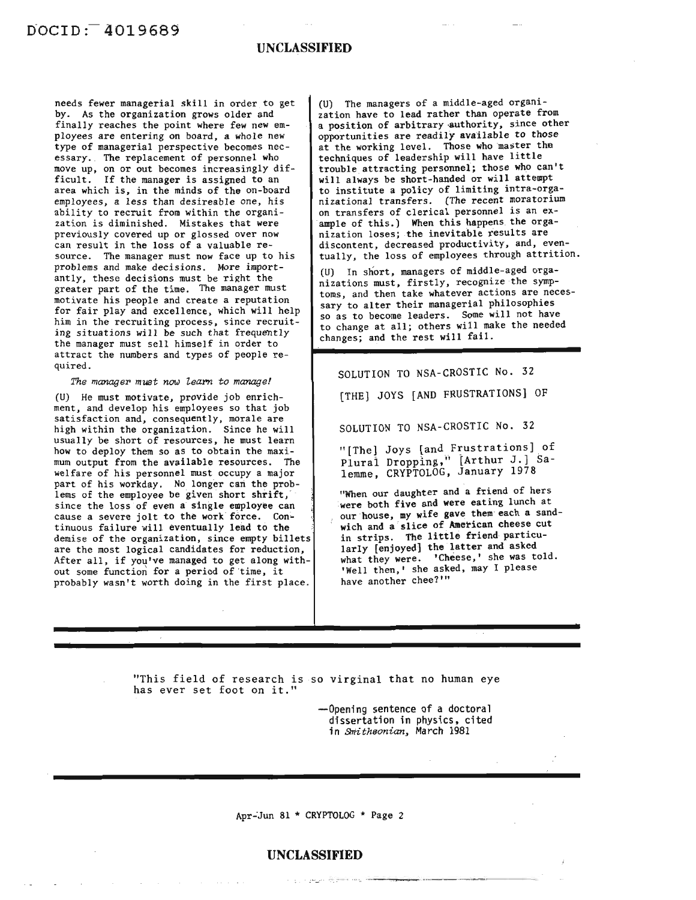#### **UNCLASSIFIED**

needs fewer managerial skill in order to get by. As the organization grows older and finally reaches the point where few new employees are entering on board, a whole new type of managerial perspective becomes necessary. The replacement of personnel who move up, on or out becomes increasingly difficult. If the manager is assigned to an area which is, in the minds of the on-board employees, a less than desireable one, his ability to recruit from within the organization is diminished. Mistakes that were previously covered up or glossed over now can result in the loss of a valuable resource. The manager must now face up to his problems and make decisions. More importantly, these decisions must be right the greater part of the time. The manager must motivate his people and create a reputation for fair play and excellence, which will help him in the recruiting process, since recruiting situations will be such that frequently the manager must sell himself in order to attract the numbers and types of people required.

#### *The manager must now learn to manage!*

(U) He must motivate, provide job enrichment, and develop his employees so that job satisfaction and, consequently, morale are high within the organization. Since he will usually be short of resources, he must learn how to deploy them so as to obtain the maximum output from the available resources. The welfare of his personnel must occupy a major part of his workday. No longer can the problems of the employee be given short shrift, since the loss of even a single employee can cause a severe jolt to the work force. Continuous failure will eventually lead to the demise of the organization, since empty billets are the most logical candidates for reduction, After all, if you've managed to get along without some function for a period of time, it probably wasn't worth doing in the first place.

(U) The managers of a middle-aged organization have to lead rather than operate from a position of arbitrary authority, since other opportunities are readily available to those at the working level. Those who master the techniques of leadership will have little trouble attracting personnel; those who can't will always be short-handed or will attempt to institute a policy of limiting intra-organizational transfers. (The recent moratorium on transfers of clerical personnel is an example of this.) When this happens the organization loses; the inevitable results are discontent, decreased productivity, and, eventually, the loss of employees through attrition.

(U) In short, managers of middle-aged organizations must, firstly, recognize the symptoms, and then take whatever actions are necessary to alter their managerial philosophies so as to become leaders. Some will not have to change at all; others will make the needed changes; and the rest will fail.

SOLUTION TO NSA-CROSTIC No. 32

[THE] JOYS [AND FRUSTRATIONS] OF

SOLUTION TO NSA-CROSTIC No. 32

"[The] Joys [and Frustrations] \_of Plural Dropping," [Arthur J.] Salemme, CRYPTOLOG, January 1978

"When our daughter and a friend of hers were both five and were eating lunch at our house, my wife gave them'each a sandwich and a slice of American cheese cut in strips. The little friend particularly [enjoyed] the latter and asked what they were. 'Cheese,' she was told. 'Well then,' she asked, may I please have another chee?'"

-~-- --------,----\_.\_--

"This field of research is so virginal that no human eye has ever set foot on it."

> --Opening sentence of a doctoral dissertation in physics. cited in *smithsonian,* March 1981

Apr-'Jun 81 \* CRYPTOLOG \* Page 2

#### **UNCLASSIFIED**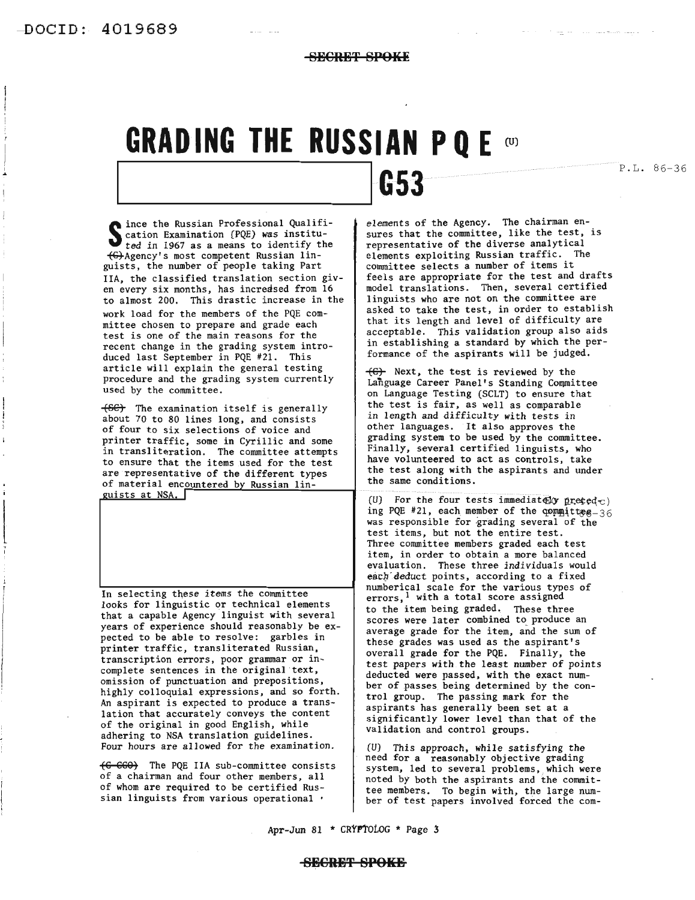I ..

 $\begin{array}{c}\n\hline\n\end{array}$ 

**SECRET SPOKE**

### **GRADING THE RUSSIAN PQE on**

P.L. 86-36

Since the Russian Professional Qualification Examination (PQE) was institu-<br>ted in 1967 as a means to identify the ince the Russian Professional Qualifited in 1967 as a means to identify the ~Agency's most competent Russian linguists, the number of people taking Part IIA, the classified translation section giv-<br>en every six months, has increased from 16 to almost 200. This drastic increase in the work load for the members of the PQE committee chosen to prepare and grade each test is one of the main reasons for the recent change in the grading system introduced last September in PQE #21. This article will explain the general testing procedure and the grading system currently used by the committee.

The examination itself is generally about 70 to 80 lines long, and consists of four to six selections of voice and printer traffic, some in Cyrillic and some in transliteration. The committee attempts to ensure that the items used for the test are representative of the different types of material encountered by Russian lin-

uists at NSA.

In selecting these items the committee looks for linguistic or technical elements that a capable Agency linguist with several years of experience should reasonably be expected to be able to resolve: garbles in printer traffic, transliterated Russian, transcription errors, poor grammar or incomplete sentences in the original text, omission of punctuation and prepositions, highly colloquial expressions, and so forth. An aspirant is expected to produce a translation that accurately conveys the content of the original in good English, while adhering to NSA translation guidelines. Four hours are allowed for the examination.

E6 668) The PQE IIA sub-committee consists of a chairman and four other members, all of whom are required to be certified Russian linguists from various operational •

**1 1053** 

elements of the Agency. The chairman en- sures that the committee, like the test, is representative of the diverse analytical elements exploiting Russian traffic. The committee selects <sup>a</sup> number of items it feels are appropriate for the test and drafts model translations. Then, several certified<br>linguists who are not on the committee are asked to take the test, in order to establish that its length and level of difficulty are acceptable. This validation group also aids in establishing a standard by which the performance of the aspirants will be judged.

 $\leftarrow$  Next, the test is reviewed by the Language Career Panel's Standing Committee on Language Testing (SCLT) to ensure that the test is fair, as well as comparable in length and difficulty with tests in other languages. It also approves the grading system to be used by the committee. Finally, several certified linguists, who have volunteered to act as controls, take the test along with the aspirants and under the same conditions.

(U) For the four tests immediately preted  $c$ ) ing PQE #21, each member of the committee  $-36$ was responsible for grading several of the test items, but not the entire test. Three committee members graded each test item, in order to obtain a more balanced evaluation. These three individuals would each deduct points, according to a fixed numberical scale for the various types of errors,  $<sup>1</sup>$  with a total score assigned</sup> to the item being graded. These three scores were later combined to produce an average grade for the item, and the sum of these grades was used as the aspirant's overall grade for the PQE. Finally, the test papers *with* the least number of points deducted were passed, with the exact num- ber of passes being determined by the control group. The passing mark for the aspirants has generally been set at a significantly lower level than that of the validation and control groups.

(U) *This* approach, while *satisfying* the need for a reasonably objective grading system, led to several problems, which were noted by both the aspirants and the committee members. To begin with, the large num- ber of test papers involved forced the com-

Apr-Jun 81 \* CRYPTOLOG \* Page 3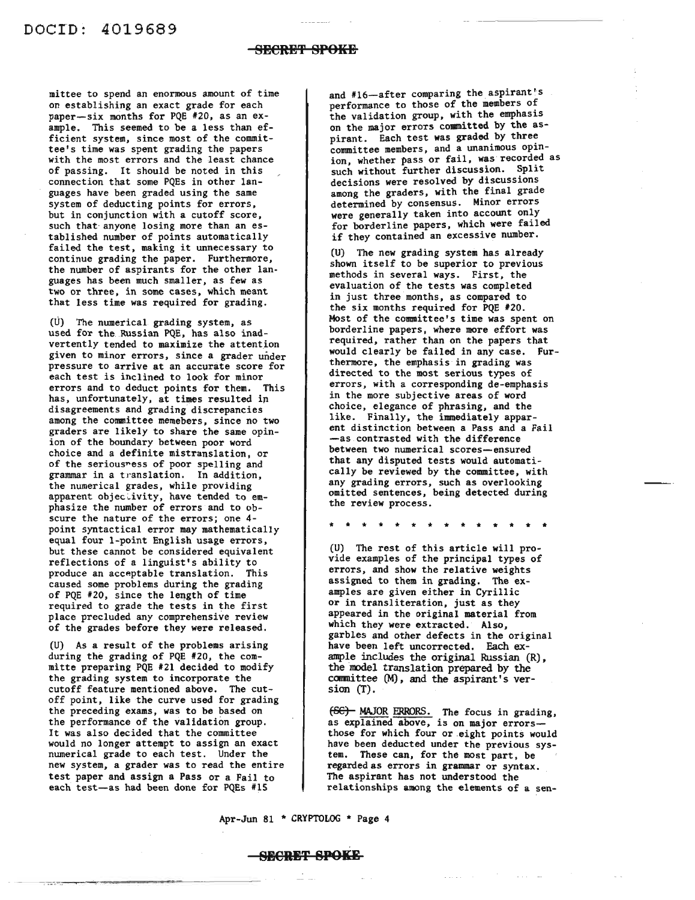mittee to spend an enormous amount of time on establishing an exact grade for each paper-six months for PQE #20, as an example. This seemed to be a less than efficient system, since most of the committee's time was spent grading the papers with the most errors and the least chance of passing. It should be noted in this connection that some PQEs in other languages have been graded using the same system of deducting points for errors, but in conjunction with a cutoff score, such that anyone losing more than an established number of points automatically failed the test, making it unnecessary to continue grading the paper. Furthermore, the number of aspirants for the other languages has been much smaller, as few as two or three, in some cases, which meant that less time was required for grading.

(U) The numerical grading system, as used for the.Russian PQE, has also inadvertently tended to maximize the attention given to minor errors, since a grader under pressure to arrive at an accurate score for each test is inclined to look for minor errors and to deduct points for them. This has, unfortunately, at times resulted in disagreements and grading discrepancies among the committee memebers, since no two graders are likely to share the same opinion of the boundary between poor word choice and a definite mistranslation, or of the serious~ess of poor spelling and grammar in a translation. In addition, the numerical grades, while providing apparent objectivity, have tended to emphasize the number of errors and to obscure the nature of the errors; one 4 point syntactical error may mathematically equal four I-point English usage errors, but these cannot be considered equivalent reflections of a linguist's ability to produce an acceptable translation. This caused some problems during the grading of PQE #20, since the length of time required to grade the tests in the first place precluded any comprehensive review of the grades before they were released.

(U) As a result of the problems arising during the grading of PQE #20, the committe preparing PQE #21 decided to modify the grading system to incorporate the cutoff feature mentioned above. The cutoff point, like the curve used for grading the preceding exams, was to be based on the performance of the validation group. It was also decided that the committee would no longer attempt to assign an exact numerical grade to each test. Under the new system, a grader was to read the entire test paper and assign a Pass or a Fail to each test-as had been done for PQEs #15

and #16-after comparing the aspirant's performance to those of the members of the validation group, with the emphasis on the major errors committed by the aspirant. Each test was graded by three committee members, and a unanimous opinion, whether pass or fail, was recorded as such without further discussion. Split decisions were resolved by discussions among the graders, with the final grade determined by consensus. Minor errors were generally taken into account only for borderline papers, which were failed if they contained an excessive number.

(U) The new grading system has already shown itself to be superior to previous methods in several ways. First, the evaluation of the tests was completed in just three months, as compared to the six months required for PQE #20. Most of the committee's time was spent on borderline papers, where more effort was required, rather than on the papers that would clearly be failed in any case. Furthermore, the emphasis in grading was directed to the most serious types of errors, with a corresponding de-emphasis in the more subjective areas of word choice, elegance of phrasing, and the like. Finally, the immediately apparent distinction between a Pass and a Fail -as contrasted with the difference between two numerical scores-ensured that any disputed tests would automatically be reviewed by the committee, with any grading errors, such as overlooking omitted sentences, being detected during the review process.

\* \* \* \* \* \* \* \* \* \* \* \* \* \*

(U) The rest of this article will provide examples of the principal types of errors, and show the relative weights assigned to them in grading. The examples are given either in Cyrillic or in transliteration, just as they appeared in the original material from which they were extracted. Also, garbles and other defects in the original have been left uncorrected. Each example includes the original Russian (R), the model translation prepared by the ccmnittee (M), and the aspirant's version (T).

f66) MAJOR ERRORS. The focus in grading, as explained above, is on major errors- those for which four or eight points would have been deducted under the previous system. These can, for the most part, be regarded as errors in grammar or syntax. The aspirant has not understood the relationships among the elements of a sen-

Apr-Jun 81 \* CRYPTOLOG \* Page 4

#### **SR€HT 8POKI1**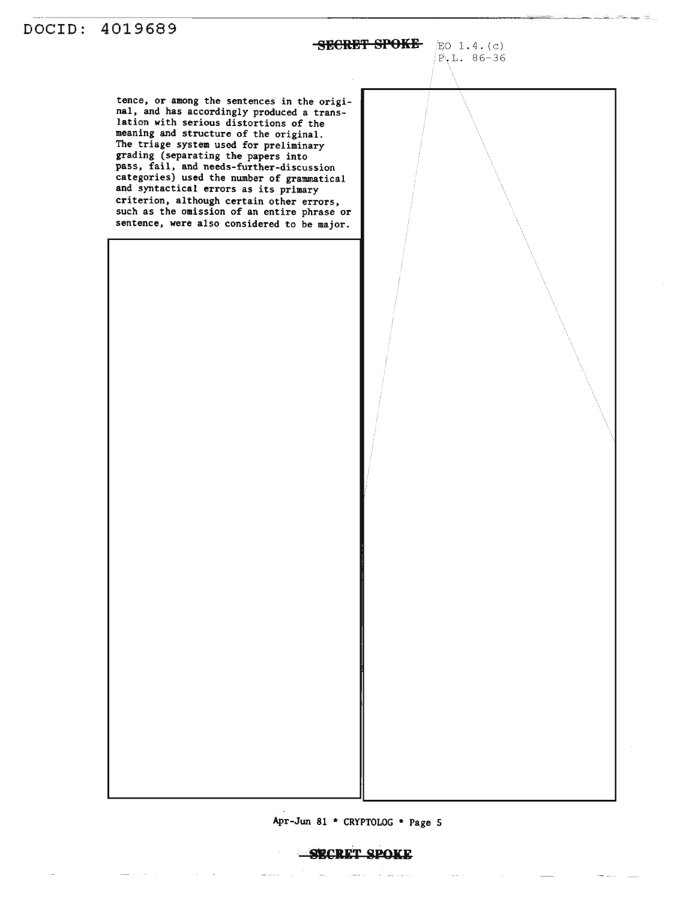DOCID: 4019689 **SECRET SPOKE** EO 1.4.(c) F,L.86-36 tence, or among the sentences in the original, and has accordingly produced a translation with serious distortions of the meaning and structure of the original. The triage system used for preliminary grading (separating the papers into pass, fail, and needs-further-discussion categories) used the number of grammatical and syntactical errors as its primary criterion, although certain other errors, such as the omission of an entire phrase or sentence, were also considered to be major.  $\begin{array}{c} \begin{array}{c} \begin{array}{c} \end{array}\\ \begin{array}{c} \end{array} \end{array} \end{array}$ 

Apr-Jun 81 \*CRYPTOLOG \* Page 5

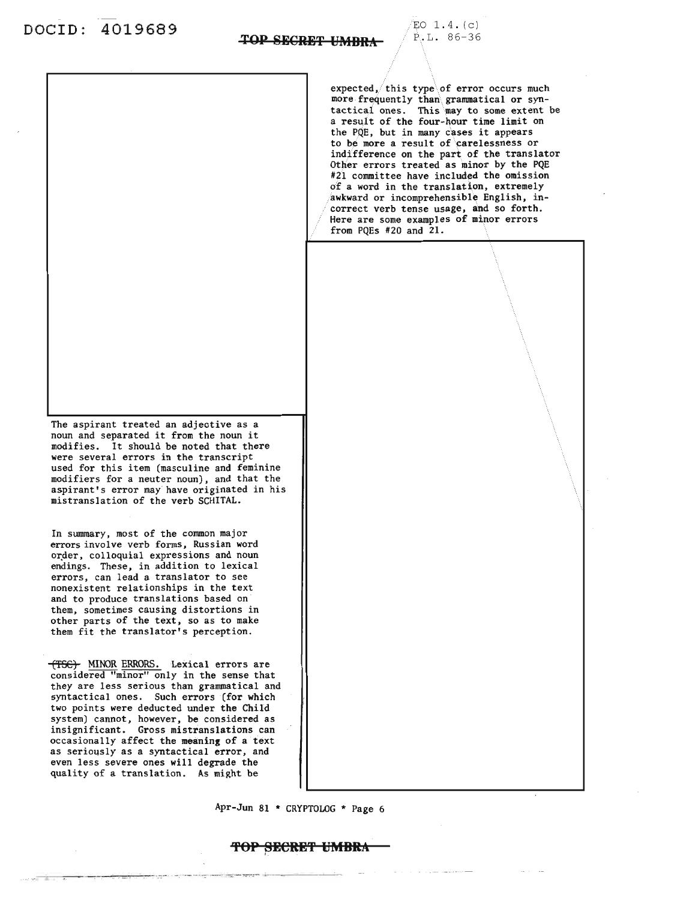$EO$   $1.4. (c)$ P..L. 86-36



 $\overline{TOP}$  SECRET UMBRA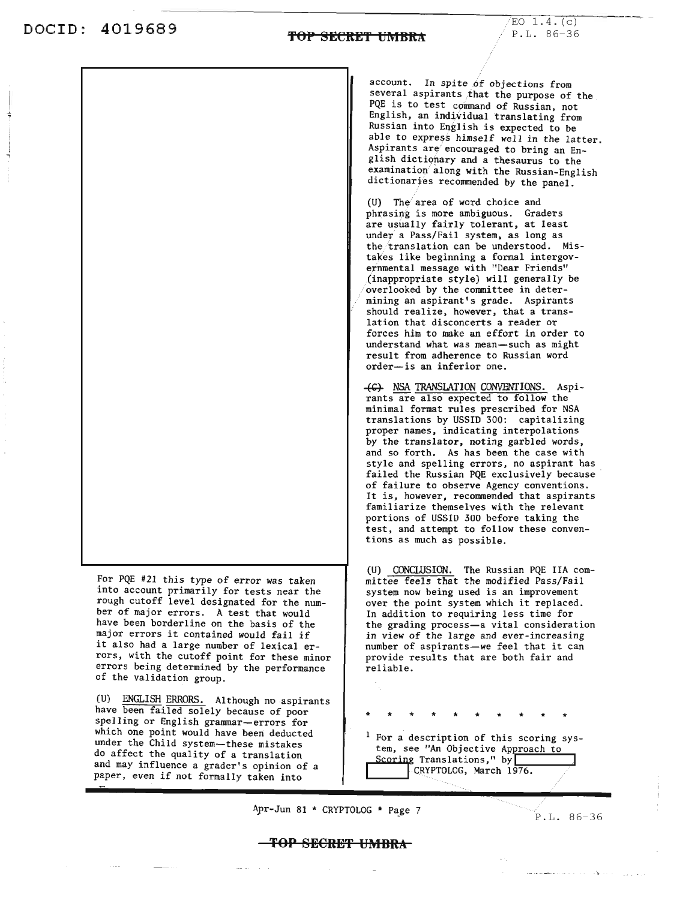$EO$   $1.4. (c)$ P.L. 86-36



Apr-Jun 81  $*$  CRYPTOLOG  $*$  Page 7

P.L. 86-36

#### **TOP SECREI' UMBRA**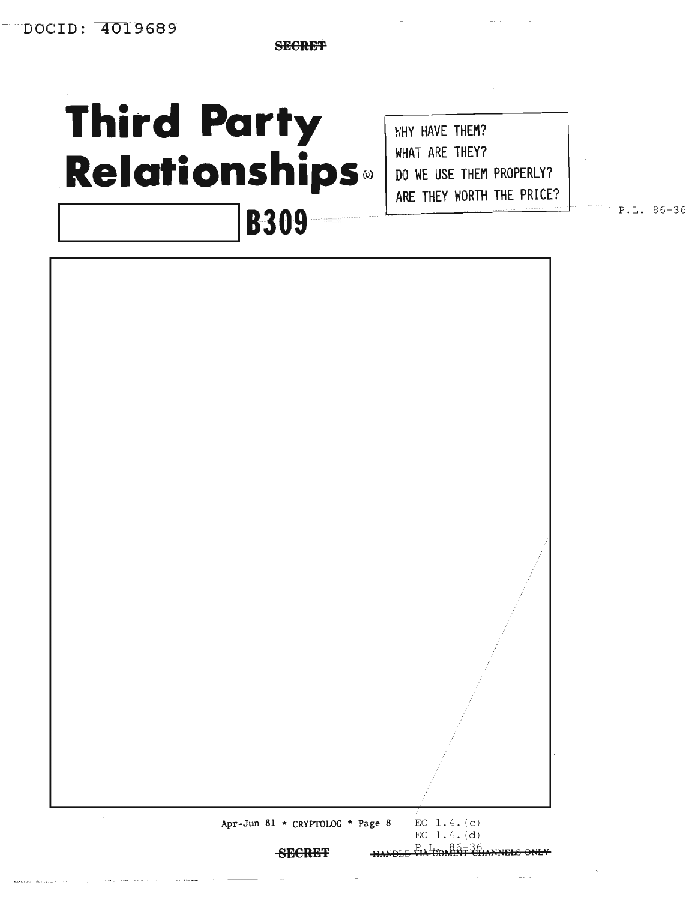**SECRET** 

# **Third Party Relationships**®

**WHY HAVE THEM?** WHAT ARE THEY? DO WE USE THEM PROPERLY? ARE THEY WORTH THE PRICE?

P.L. 86-36

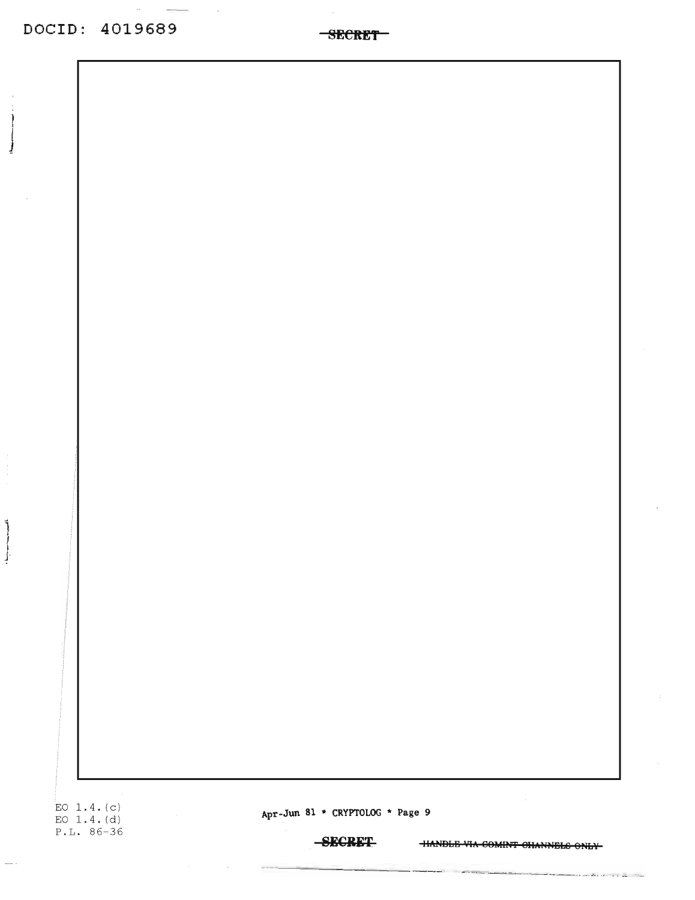$\overline{\phantom{a}}$ 

**SECRET** 

EO  $1.4. (c)$ EO  $1.4.(d)$  $P.L. 86-36$ 

 $\overline{\phantom{a}}$ 

Apr-Jun 81 \* CRYPTOLOG \* Page 9

**SECRET** 

**HANDLE VIA COMINT CHANNELS ONLY-**

سيريت تم

المرجحان وتتوارث والوادعات والقياديت بالمحجم

- - - - - - - - - -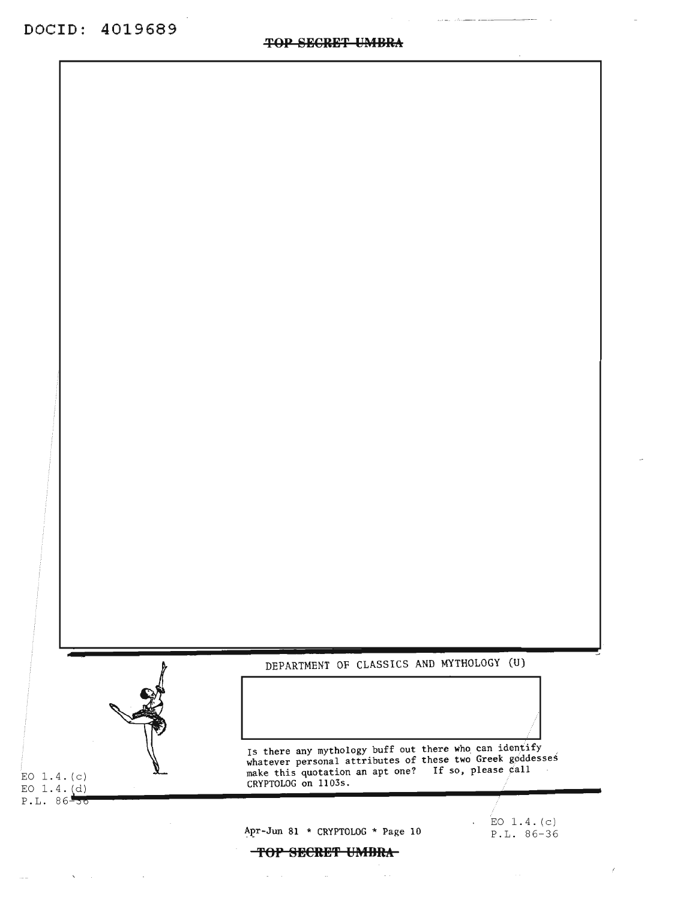

 $\sim$ 

 $\sim$  .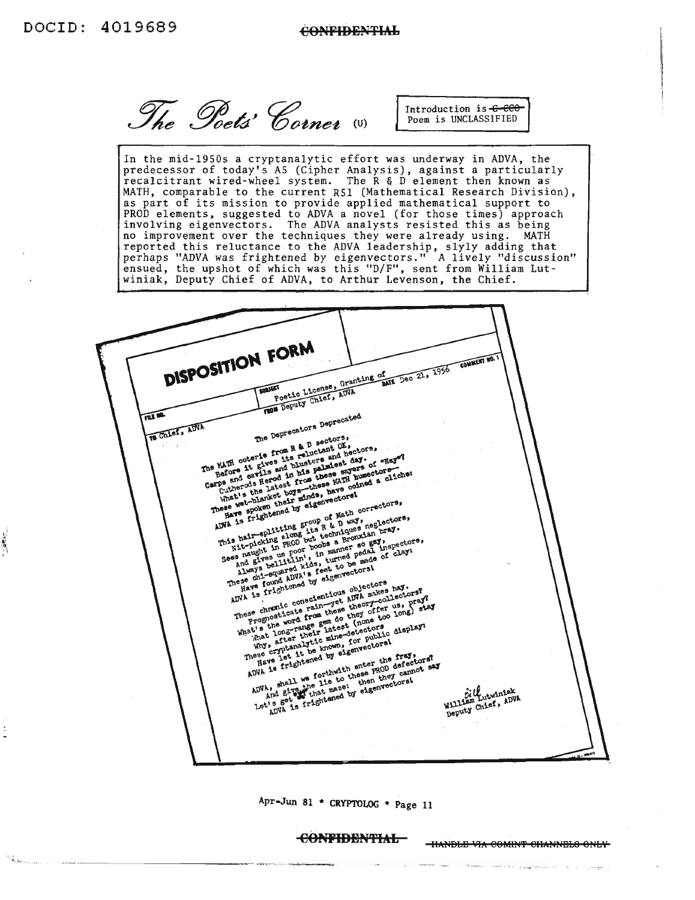ŧ Ä

The Poets' Corner

Introduction is -C-CCO Poem is UNCLASSIFIED

In the mid-l9S0s a cryptanalytic effort was underway in ADVA, the predecessor of today's AS (Cipher Analysis), against a particularly recalcitrant wired-wheel system. The R & D element then known as MATH, comparable to the current R5l (Mathematical Research Division), as part of its mission to provide applied mathematical support to PROD elements, suggested to ADVA a novel (for those times) approach involving eigenvectors. The ADVA analysts resisted this as being no improvement over the techniques they were already using. MATH reported this reluctance to the ADVA leadership, slyly adding that perhaps "ADVA was frightened by eigenvectors." A lively "discussion" ensued, the upshot of which was this "D/F", sent from William Lutwiniak, Deputy Chief of ADVA, to Arthur Levenson, the Chief.

DISPOSITION FORM **COMMENT NO.** of Dec 21, 1956 Poetic License, Granting of **SULLET** The Deprecators Deprecated FILE NA The Euclide from a series with the particle in the hair point is frightened with the hair completions,<br>and the species of the complete the state of the series of the particle and blue<br>carps and cartiers and blue these says TO Chief, ADVA The Deprecators of the Red of Article<br>The KATH coterie from R & D sectors,<br>The KATH coterie and the palueters and h<br>Before it gives it blueters and ast<br>Before it gives and his passe and The window of Math of Colors and First Constanting the distribution of the distribution of the math of the math of the math of the math of the math of the math of the math of the math of the math of the math of the math of and give-clitim and always the best did a lways -squared kids, turn o be made<br>these china a lways and by eigenvectors!<br>These china a lways and by eigenvectors<br>and is frightened by eigenvectors and and<br>ADVA is ............. Always being a feet to occors!<br>have not a feet to occors!<br>have a chi-equared kits feet to occors!<br>have a fightened by elgenvectors have a fighter of the conscientious apple objectors in profit<br>most conscientious apple theo These chicago and any elgenvectors<br>ADVA is frightened by elgenvectors<br>ADVA is frightened by elgenvious objectors<br>These chronic conscienting theory-col<br>These chronic area these theory offer<br>prognosition from a theory offer That after their mine-dor public<br>why expression is nown, for public<br>mese cryptanalytic known, denvectoral<br>mese of 1t tened by elements in the<br>ADVA is frightened the paper<br>ADVA is ...11 we forthat to these paper ing, after the moment of the fragmental and the fragmental and the fragmental and the fragmental and the fragmental and the fragmental and the fragmental and the state of the fragmental and the fragmental and the fragmenta ADVA, shall we fortune to these then they can<br>ADVA, shall we fit to the new theory can allow and single that maze:<br>Let's got as frightened by eigenvectors! Bill utwinter ADVA. villutwinder<br>William Lutwinder<br>Deputy Chief, ADVA

Apr-Jun 81 \* CRYPTOLOG \* Page 11

**CONFIDENTIAL** IIANDLE VIA COMINT CHANNELS ONLY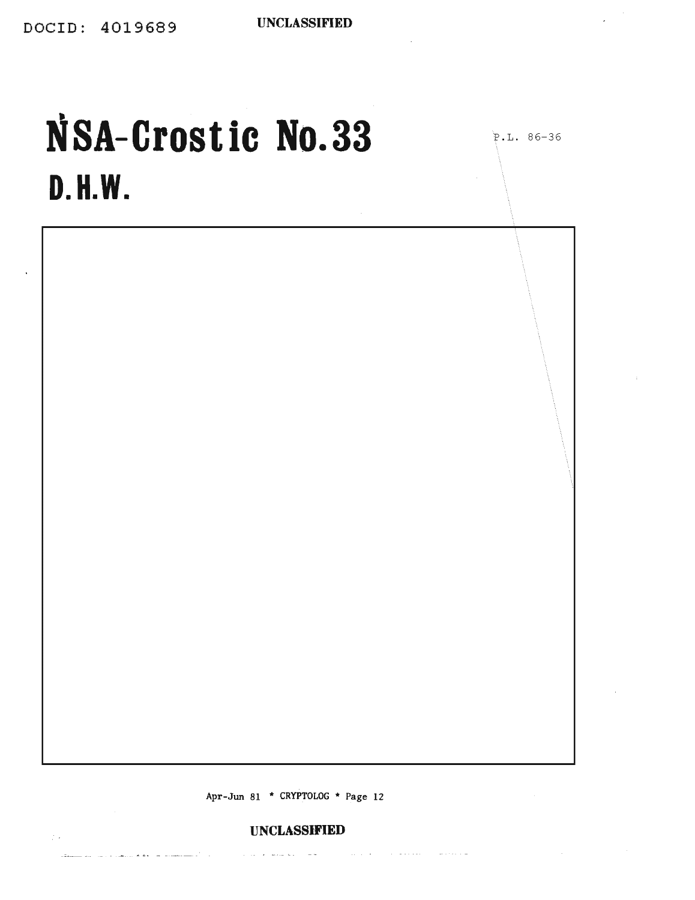P.L. 86-36

 $\sim$ 

## **NSA-Crostic No.33 D. H.W.**

 $\lambda$ 

Apr-Jun 81 \* CRYPTOLOG \* Page 12

#### **UNCLASStFIED**

 $\mathcal{L}_{\mathcal{A}}$  . The spectral properties of the spectral properties of the spectra spectra  $\mathcal{A}$ 

المستقلة الأمارين

والماليفاء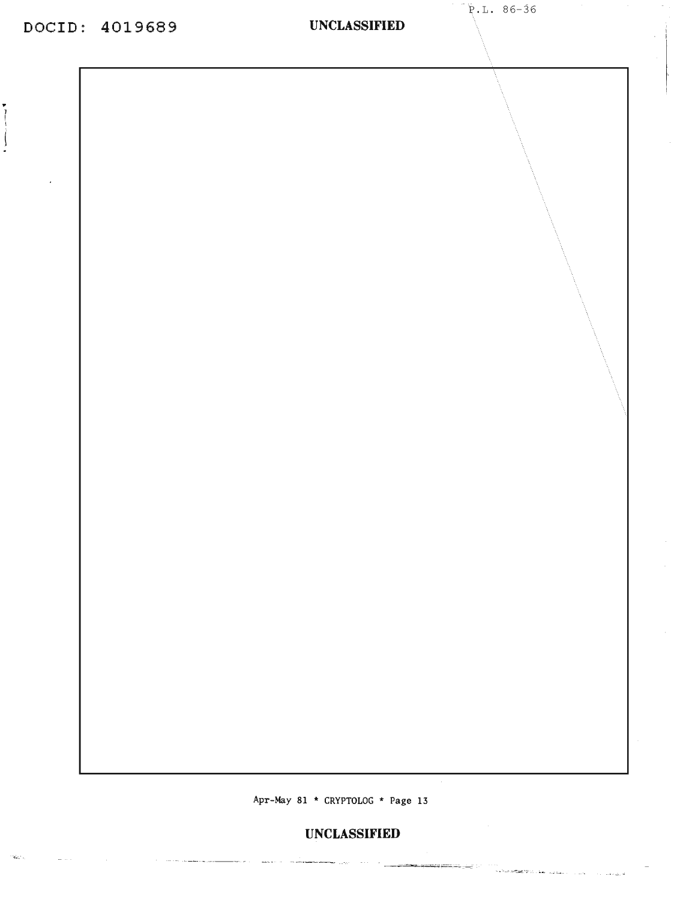$\overline{\mathcal{L}}$ 

ria.<br>Santa

<u>a series de la companya</u>

i<br>Here e

a sucede a conference

#### **UNCLASSIFIED**

Apr-May 81 \* CRYPTOLOG \* Page 13

المحرور المست

#### **UNCLASSIFIED**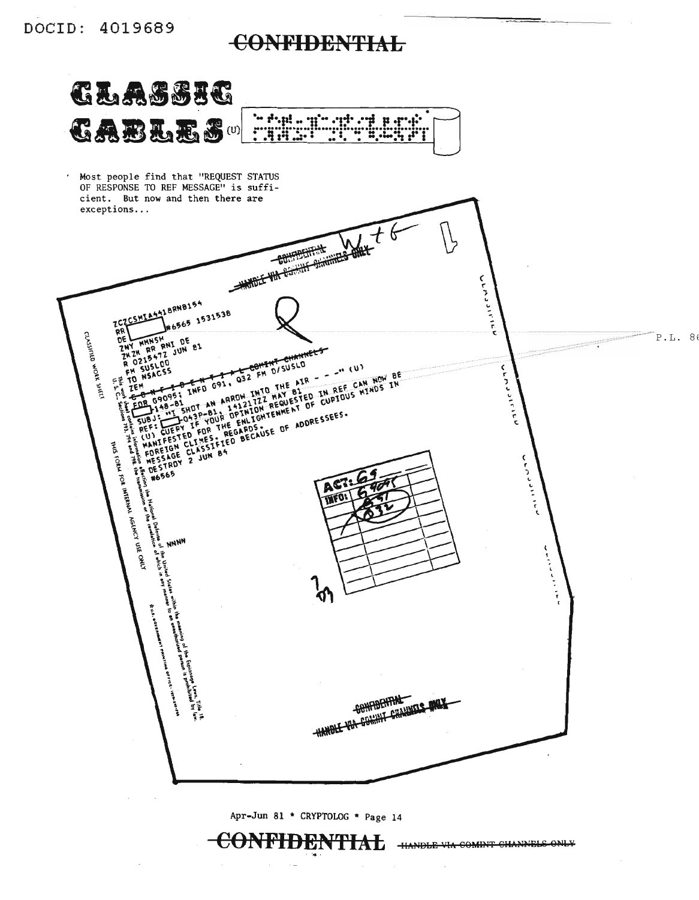### **CONFIDENTIAL**

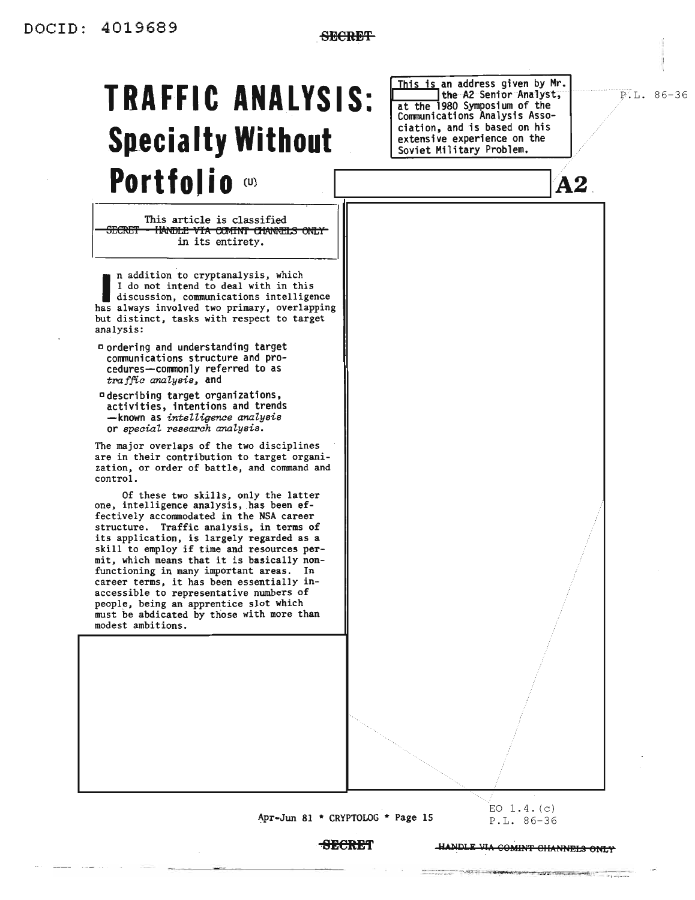## **TRAFFIC ANALYSIS: Specialty Without** Portfolio (U)

This article is classified **SECRET** HANDLE VIA COMINT CHANNELS ONLY in its entirety.

n addition to cryptanalysis, which I do not intend to deal with in this discussion, communications intelligence has always involved two primary, overlapping but distinct, tasks with respect to target analysis:

- Dordering and understanding target communications structure and procedures-commonly referred to as traffic analysis, and
- ¤ describing target organizations, activities, intentions and trends -known as intelligence analysis or special research analysis.

The major overlaps of the two disciplines are in their contribution to target organization, or order of battle, and command and control.

Of these two skills, only the latter one, intelligence analysis, has been effectively accommodated in the NSA career structure. Traffic analysis, in terms of its application, is largely regarded as a skill to employ if time and resources permit, which means that it is basically nonfunctioning in many important areas. In career terms, it has been essentially inaccessible to representative numbers of people, being an apprentice slot which must be abdicated by those with more than modest ambitions.

This is an address given by Mr. the A2 Senior Analyst, at the 1980 Symposium of the Communications Analysis Association, and is based on his extensive experience on the Soviet Military Problem.

 $P.L. 86-36$ 

 $A2$ 

Apr-Jun 81 \* CRYPTOLOG \* Page 15

 $EO$  1.4. $(c)$ P.L. 86-36

**SECRET** 

HANDLE VIA COMINT CHANNELS ONLY

was the complete that the property

---------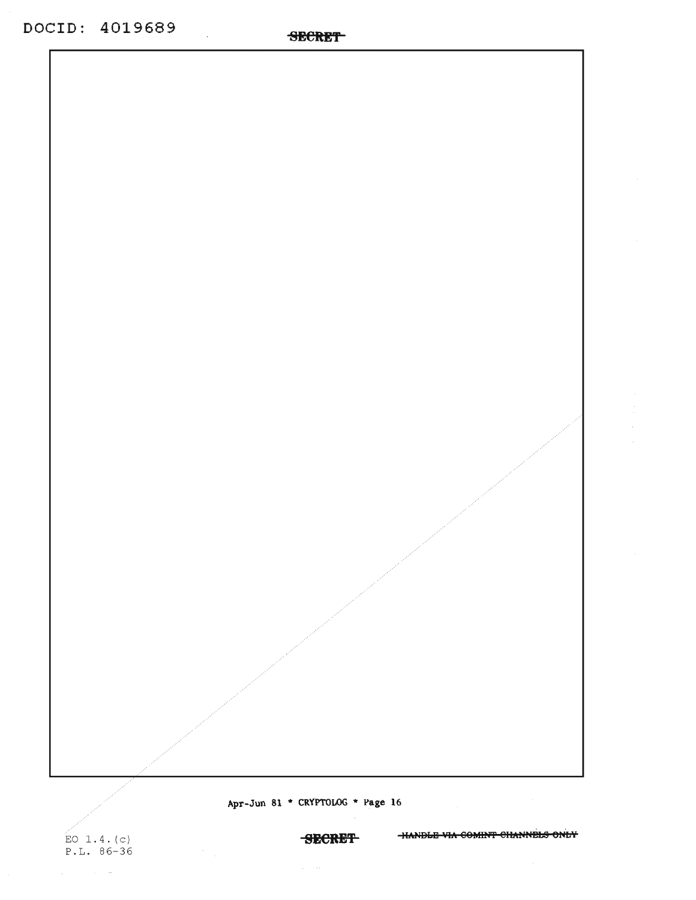$\mathcal{L}_{\mathcal{A}}$ 

EO  $1.4. (c)$  $P.L. 86-36$ 

 $\mu_{\rm{max}}=0.01$  and  $\mu_{\rm{max}}=0$ 

Apr-Jun 81 \* CRYPTOLOG \* Page 16

SECRET HANDLE VIA COMINT CHANNELS ONLY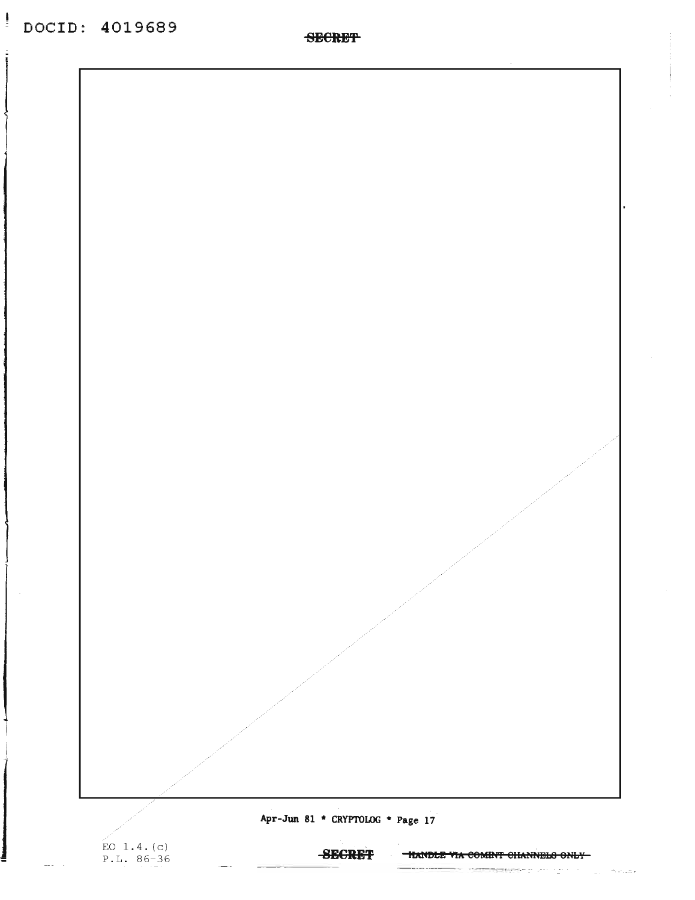Apr-Jun 81 \* CRYPTOLOG \* Page 17

EO 1.4. $(c)$ <br>P.L. 86-36

**SECRET** 

- **HANDLE VIA COMINT CHANNELS ONLY-**

<u>someter</u>e planning

 $\sim$ 

marazo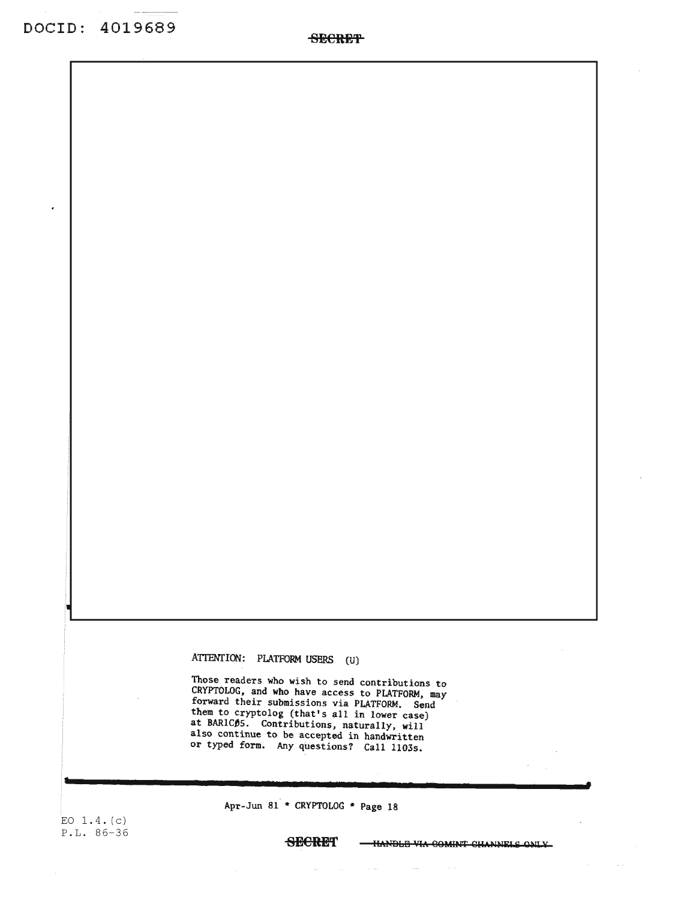ATTENTION: PLATFORM USERS (U)

Those readers who wish to send contributions to CRYPTOLOG, and who have access to PLATFORM, may forward their submissions via PLATFORM. Send them to cryptolog (that's all in lower case) at BARICO5. Contributions, naturally, will also continue to be accepted in handwritten or typed form. Any questions? Call 11035.

EO 1.4. (c) P.L. 86-36

**s**

**SECRE"**

Apr-Jun 81 \* CRYPTOLOG \* Page 18

-HANDLE VIA COMINT CHANNELS ONLY

 $\sim$   $\sim$ 

**.**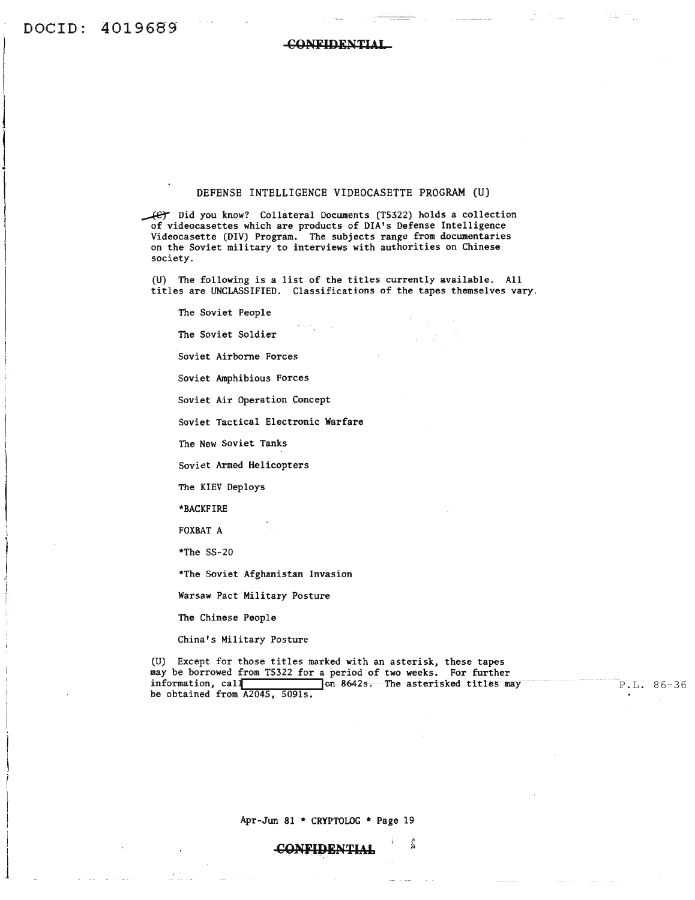$\overline{\phantom{a}}$ 

 $\frac{1}{2}$ 

 $\overline{\phantom{a}}$ 

1

i

 $\int_{\mathbb{R}^2}$ 

CONFIDENTIAL

#### DEFENSE INTELLIGENCE VIDEOCASETTE PROGRAM (U)

Did *you* know? Collateral Documents (T5322) holds a collection of videocasettes which are products of DIA's Defense Intelligence Videocasette (DIV) Program. The subjects range from documentaries on the Soviet military to interviews with authorities on Chinese society.

(U) The following is a list of the titles currently available. All titles are UNCLASSIFIED. Classifications of the tapes themselves vary.

The Soviet People

The Soviet Soldier

Soviet Airborne Forces

Soviet Amphibious Forces

Soviet Air Operation Concept

Soviet Tactical Electronic Warfare

The New Soviet Tanks

Soviet Armed Helicopters

The KIEV Deploys

\*BACKFIRE

FOXBAT A

\*The SS-20

\*The Soviet Afghanistan Invasion

Warsaw Pact Military Posture

The Chinese People

China's Military Posture

(U) Except for those titles marked with an asterisk, these tapes may be borrowed from T5322 for a period of two weeks. For further information, call is a series of the method of the material contract information, call be obtained from A2045, 5091s.

P.L. 86-36

Apr-Jun 81 \* CRYPTOLOG \* Page 19

1

CONFIDENTIAL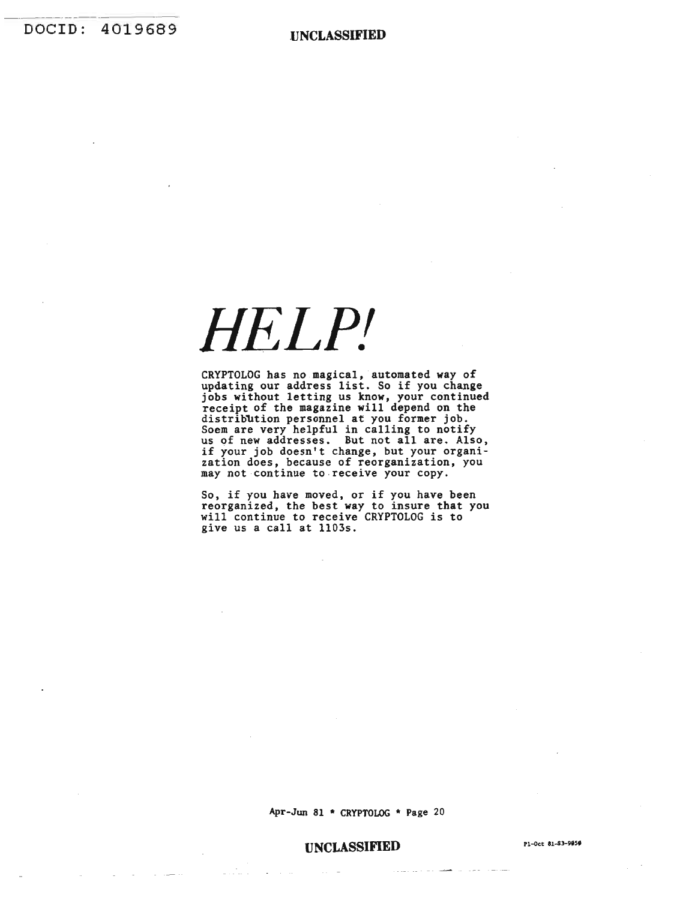# *HELPl*

CRYPTOLOG has no magical, automated way of updating our address list. So if you change jobs without letting us know, your continued receipt of the magazine will depend on the distribution personnel at you former job.<br>Soem are very helpful in calling to notify us of new addresses. But not all are. Also, if your job doesn't change, but your organi- zation does, because of reorganization, you may not continue to receive your copy.

So, if you have moved, or if you have been reorganized, the best way to insure that you will continue to receive CRYPTOLOG is to give us a call at 1103s.

Apr-Jun 81 \* CRYPTOLOG \* Page 20

#### **UNCLASSIFIED** Pl-Oct 81-83-9856